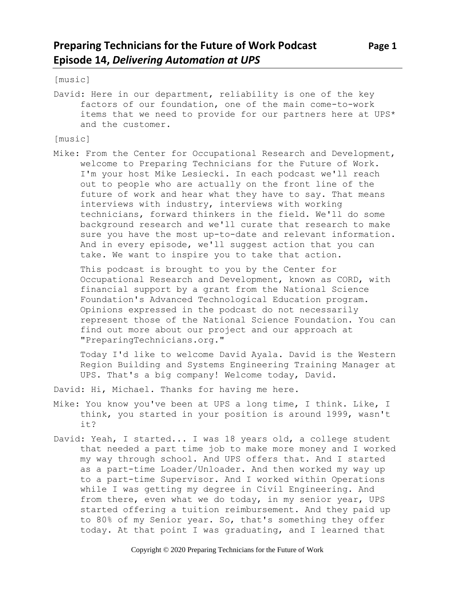[music]

David: Here in our department, reliability is one of the key factors of our foundation, one of the main come-to-work items that we need to provide for our partners here at UPS\* and the customer.

[music]

Mike: From the Center for Occupational Research and Development, welcome to Preparing Technicians for the Future of Work. I'm your host Mike Lesiecki. In each podcast we'll reach out to people who are actually on the front line of the future of work and hear what they have to say. That means interviews with industry, interviews with working technicians, forward thinkers in the field. We'll do some background research and we'll curate that research to make sure you have the most up-to-date and relevant information. And in every episode, we'll suggest action that you can take. We want to inspire you to take that action.

This podcast is brought to you by the Center for Occupational Research and Development, known as CORD, with financial support by a grant from the National Science Foundation's Advanced Technological Education program. Opinions expressed in the podcast do not necessarily represent those of the National Science Foundation. You can find out more about our project and our approach at "PreparingTechnicians.org."

Today I'd like to welcome David Ayala. David is the Western Region Building and Systems Engineering Training Manager at UPS. That's a big company! Welcome today, David.

David: Hi, Michael. Thanks for having me here.

- Mike: You know you've been at UPS a long time, I think. Like, I think, you started in your position is around 1999, wasn't it?
- David: Yeah, I started... I was 18 years old, a college student that needed a part time job to make more money and I worked my way through school. And UPS offers that. And I started as a part-time Loader/Unloader. And then worked my way up to a part-time Supervisor. And I worked within Operations while I was getting my degree in Civil Engineering. And from there, even what we do today, in my senior year, UPS started offering a tuition reimbursement. And they paid up to 80% of my Senior year. So, that's something they offer today. At that point I was graduating, and I learned that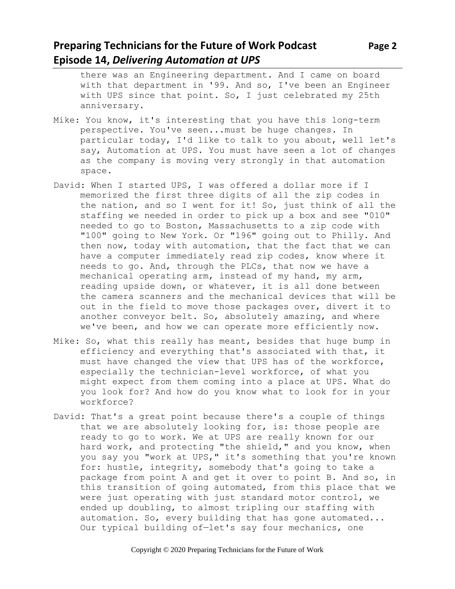#### **Preparing Technicians for the Future of Work Podcast Page 2 Episode 14,** *Delivering Automation at UPS*

there was an Engineering department. And I came on board with that department in '99. And so, I've been an Engineer with UPS since that point. So, I just celebrated my 25th anniversary.

- Mike: You know, it's interesting that you have this long-term perspective. You've seen...must be huge changes. In particular today, I'd like to talk to you about, well let's say, Automation at UPS. You must have seen a lot of changes as the company is moving very strongly in that automation space.
- David: When I started UPS, I was offered a dollar more if I memorized the first three digits of all the zip codes in the nation, and so I went for it! So, just think of all the staffing we needed in order to pick up a box and see "010" needed to go to Boston, Massachusetts to a zip code with "100" going to New York. Or "196" going out to Philly. And then now, today with automation, that the fact that we can have a computer immediately read zip codes, know where it needs to go. And, through the PLCs, that now we have a mechanical operating arm, instead of my hand, my arm, reading upside down, or whatever, it is all done between the camera scanners and the mechanical devices that will be out in the field to move those packages over, divert it to another conveyor belt. So, absolutely amazing, and where we've been, and how we can operate more efficiently now.
- Mike: So, what this really has meant, besides that huge bump in efficiency and everything that's associated with that, it must have changed the view that UPS has of the workforce, especially the technician-level workforce, of what you might expect from them coming into a place at UPS. What do you look for? And how do you know what to look for in your workforce?
- David: That's a great point because there's a couple of things that we are absolutely looking for, is: those people are ready to go to work. We at UPS are really known for our hard work, and protecting "the shield," and you know, when you say you "work at UPS," it's something that you're known for: hustle, integrity, somebody that's going to take a package from point A and get it over to point B. And so, in this transition of going automated, from this place that we were just operating with just standard motor control, we ended up doubling, to almost tripling our staffing with automation. So, every building that has gone automated... Our typical building of—let's say four mechanics, one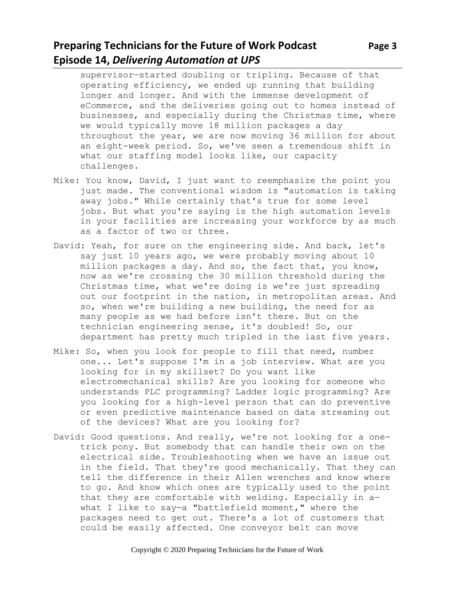## **Preparing Technicians for the Future of Work Podcast** Page 3 **Episode 14,** *Delivering Automation at UPS*

supervisor—started doubling or tripling. Because of that operating efficiency, we ended up running that building longer and longer. And with the immense development of eCommerce, and the deliveries going out to homes instead of businesses, and especially during the Christmas time, where we would typically move 18 million packages a day throughout the year, we are now moving 36 million for about an eight-week period. So, we've seen a tremendous shift in what our staffing model looks like, our capacity challenges.

- Mike: You know, David, I just want to reemphasize the point you just made. The conventional wisdom is "automation is taking away jobs." While certainly that's true for some level jobs. But what you're saying is the high automation levels in your facilities are increasing your workforce by as much as a factor of two or three.
- David: Yeah, for sure on the engineering side. And back, let's say just 10 years ago, we were probably moving about 10 million packages a day. And so, the fact that, you know, now as we're crossing the 30 million threshold during the Christmas time, what we're doing is we're just spreading out our footprint in the nation, in metropolitan areas. And so, when we're building a new building, the need for as many people as we had before isn't there. But on the technician engineering sense, it's doubled! So, our department has pretty much tripled in the last five years.
- Mike: So, when you look for people to fill that need, number one... Let's suppose I'm in a job interview. What are you looking for in my skillset? Do you want like electromechanical skills? Are you looking for someone who understands PLC programming? Ladder logic programming? Are you looking for a high-level person that can do preventive or even predictive maintenance based on data streaming out of the devices? What are you looking for?
- David: Good questions. And really, we're not looking for a onetrick pony. But somebody that can handle their own on the electrical side. Troubleshooting when we have an issue out in the field. That they're good mechanically. That they can tell the difference in their Allen wrenches and know where to go. And know which ones are typically used to the point that they are comfortable with welding. Especially in a what I like to say—a "battlefield moment," where the packages need to get out. There's a lot of customers that could be easily affected. One conveyor belt can move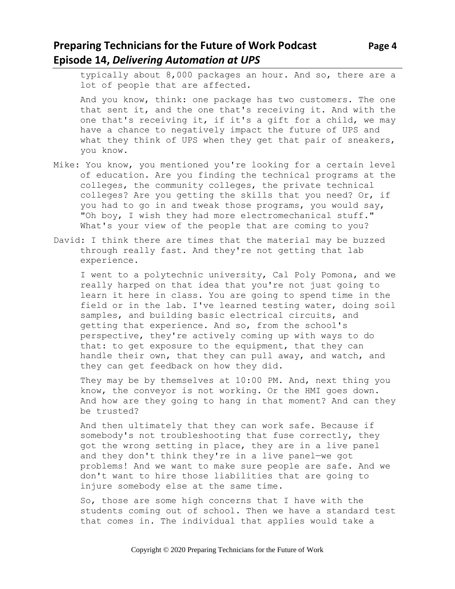# **Preparing Technicians for the Future of Work Podcast Page 4 Episode 14,** *Delivering Automation at UPS*

typically about 8,000 packages an hour. And so, there are a lot of people that are affected.

And you know, think: one package has two customers. The one that sent it, and the one that's receiving it. And with the one that's receiving it, if it's a gift for a child, we may have a chance to negatively impact the future of UPS and what they think of UPS when they get that pair of sneakers, you know.

- Mike: You know, you mentioned you're looking for a certain level of education. Are you finding the technical programs at the colleges, the community colleges, the private technical colleges? Are you getting the skills that you need? Or, if you had to go in and tweak those programs, you would say, "Oh boy, I wish they had more electromechanical stuff." What's your view of the people that are coming to you?
- David: I think there are times that the material may be buzzed through really fast. And they're not getting that lab experience.

I went to a polytechnic university, Cal Poly Pomona, and we really harped on that idea that you're not just going to learn it here in class. You are going to spend time in the field or in the lab. I've learned testing water, doing soil samples, and building basic electrical circuits, and getting that experience. And so, from the school's perspective, they're actively coming up with ways to do that: to get exposure to the equipment, that they can handle their own, that they can pull away, and watch, and they can get feedback on how they did.

They may be by themselves at 10:00 PM. And, next thing you know, the conveyor is not working. Or the HMI goes down. And how are they going to hang in that moment? And can they be trusted?

And then ultimately that they can work safe. Because if somebody's not troubleshooting that fuse correctly, they got the wrong setting in place, they are in a live panel and they don't think they're in a live panel—we got problems! And we want to make sure people are safe. And we don't want to hire those liabilities that are going to injure somebody else at the same time.

So, those are some high concerns that I have with the students coming out of school. Then we have a standard test that comes in. The individual that applies would take a

Copyright © 2020 Preparing Technicians for the Future of Work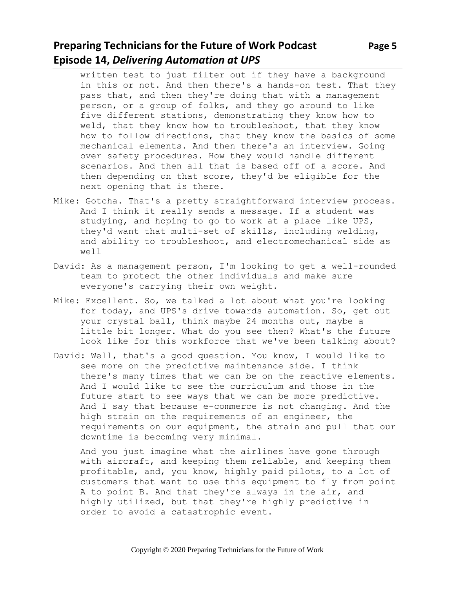### **Preparing Technicians for the Future of Work Podcast** Page 5 **Episode 14,** *Delivering Automation at UPS*

written test to just filter out if they have a background in this or not. And then there's a hands-on test. That they pass that, and then they're doing that with a management person, or a group of folks, and they go around to like five different stations, demonstrating they know how to weld, that they know how to troubleshoot, that they know how to follow directions, that they know the basics of some mechanical elements. And then there's an interview. Going over safety procedures. How they would handle different scenarios. And then all that is based off of a score. And then depending on that score, they'd be eligible for the next opening that is there.

- Mike: Gotcha. That's a pretty straightforward interview process. And I think it really sends a message. If a student was studying, and hoping to go to work at a place like UPS, they'd want that multi-set of skills, including welding, and ability to troubleshoot, and electromechanical side as well
- David: As a management person, I'm looking to get a well-rounded team to protect the other individuals and make sure everyone's carrying their own weight.
- Mike: Excellent. So, we talked a lot about what you're looking for today, and UPS's drive towards automation. So, get out your crystal ball, think maybe 24 months out, maybe a little bit longer. What do you see then? What's the future look like for this workforce that we've been talking about?
- David: Well, that's a good question. You know, I would like to see more on the predictive maintenance side. I think there's many times that we can be on the reactive elements. And I would like to see the curriculum and those in the future start to see ways that we can be more predictive. And I say that because e-commerce is not changing. And the high strain on the requirements of an engineer, the requirements on our equipment, the strain and pull that our downtime is becoming very minimal.

And you just imagine what the airlines have gone through with aircraft, and keeping them reliable, and keeping them profitable, and, you know, highly paid pilots, to a lot of customers that want to use this equipment to fly from point A to point B. And that they're always in the air, and highly utilized, but that they're highly predictive in order to avoid a catastrophic event.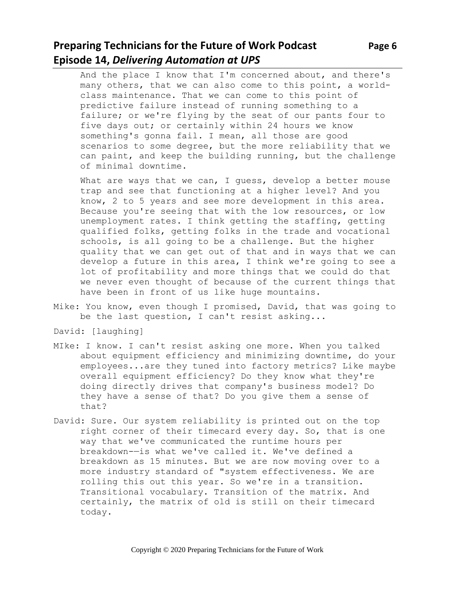## **Preparing Technicians for the Future of Work Podcast** Page 6 **Episode 14,** *Delivering Automation at UPS*

And the place I know that I'm concerned about, and there's many others, that we can also come to this point, a worldclass maintenance. That we can come to this point of predictive failure instead of running something to a failure; or we're flying by the seat of our pants four to five days out; or certainly within 24 hours we know something's gonna fail. I mean, all those are good scenarios to some degree, but the more reliability that we can paint, and keep the building running, but the challenge of minimal downtime.

What are ways that we can, I guess, develop a better mouse trap and see that functioning at a higher level? And you know, 2 to 5 years and see more development in this area. Because you're seeing that with the low resources, or low unemployment rates. I think getting the staffing, getting qualified folks, getting folks in the trade and vocational schools, is all going to be a challenge. But the higher quality that we can get out of that and in ways that we can develop a future in this area, I think we're going to see a lot of profitability and more things that we could do that we never even thought of because of the current things that have been in front of us like huge mountains.

- Mike: You know, even though I promised, David, that was going to be the last question, I can't resist asking...
- David: [laughing]
- MIke: I know. I can't resist asking one more. When you talked about equipment efficiency and minimizing downtime, do your employees...are they tuned into factory metrics? Like maybe overall equipment efficiency? Do they know what they're doing directly drives that company's business model? Do they have a sense of that? Do you give them a sense of that?
- David: Sure. Our system reliability is printed out on the top right corner of their timecard every day. So, that is one way that we've communicated the runtime hours per breakdown-—is what we've called it. We've defined a breakdown as 15 minutes. But we are now moving over to a more industry standard of "system effectiveness. We are rolling this out this year. So we're in a transition. Transitional vocabulary. Transition of the matrix. And certainly, the matrix of old is still on their timecard today.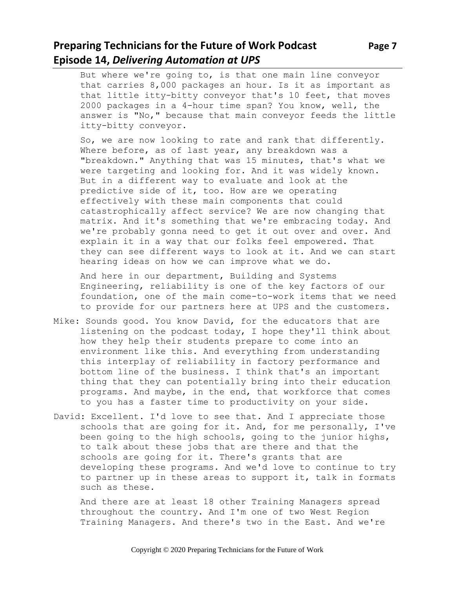### **Preparing Technicians for the Future of Work Podcast Page 7 Episode 14,** *Delivering Automation at UPS*

But where we're going to, is that one main line conveyor that carries 8,000 packages an hour. Is it as important as that little itty-bitty conveyor that's 10 feet, that moves 2000 packages in a 4-hour time span? You know, well, the answer is "No," because that main conveyor feeds the little itty-bitty conveyor.

So, we are now looking to rate and rank that differently. Where before, as of last year, any breakdown was a "breakdown." Anything that was 15 minutes, that's what we were targeting and looking for. And it was widely known. But in a different way to evaluate and look at the predictive side of it, too. How are we operating effectively with these main components that could catastrophically affect service? We are now changing that matrix. And it's something that we're embracing today. And we're probably gonna need to get it out over and over. And explain it in a way that our folks feel empowered. That they can see different ways to look at it. And we can start hearing ideas on how we can improve what we do.

And here in our department, Building and Systems Engineering, reliability is one of the key factors of our foundation, one of the main come-to-work items that we need to provide for our partners here at UPS and the customers.

- Mike: Sounds good. You know David, for the educators that are listening on the podcast today, I hope they'll think about how they help their students prepare to come into an environment like this. And everything from understanding this interplay of reliability in factory performance and bottom line of the business. I think that's an important thing that they can potentially bring into their education programs. And maybe, in the end, that workforce that comes to you has a faster time to productivity on your side.
- David: Excellent. I'd love to see that. And I appreciate those schools that are going for it. And, for me personally, I've been going to the high schools, going to the junior highs, to talk about these jobs that are there and that the schools are going for it. There's grants that are developing these programs. And we'd love to continue to try to partner up in these areas to support it, talk in formats such as these.

And there are at least 18 other Training Managers spread throughout the country. And I'm one of two West Region Training Managers. And there's two in the East. And we're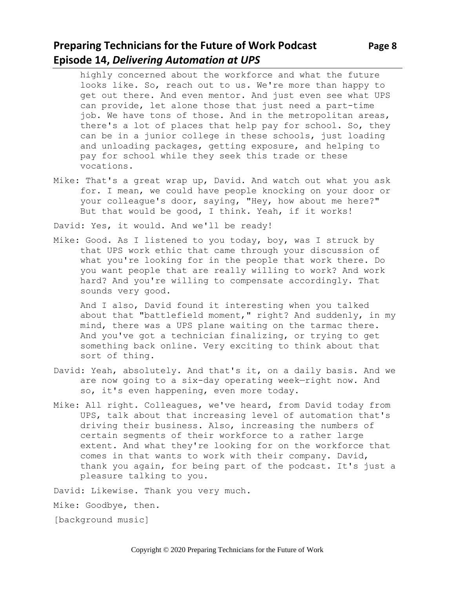### **Preparing Technicians for the Future of Work Podcast** Page 8 **Episode 14,** *Delivering Automation at UPS*

highly concerned about the workforce and what the future looks like. So, reach out to us. We're more than happy to get out there. And even mentor. And just even see what UPS can provide, let alone those that just need a part-time job. We have tons of those. And in the metropolitan areas, there's a lot of places that help pay for school. So, they can be in a junior college in these schools, just loading and unloading packages, getting exposure, and helping to pay for school while they seek this trade or these vocations.

Mike: That's a great wrap up, David. And watch out what you ask for. I mean, we could have people knocking on your door or your colleague's door, saying, "Hey, how about me here?" But that would be good, I think. Yeah, if it works!

David: Yes, it would. And we'll be ready!

Mike: Good. As I listened to you today, boy, was I struck by that UPS work ethic that came through your discussion of what you're looking for in the people that work there. Do you want people that are really willing to work? And work hard? And you're willing to compensate accordingly. That sounds very good.

And I also, David found it interesting when you talked about that "battlefield moment," right? And suddenly, in my mind, there was a UPS plane waiting on the tarmac there. And you've got a technician finalizing, or trying to get something back online. Very exciting to think about that sort of thing.

- David: Yeah, absolutely. And that's it, on a daily basis. And we are now going to a six-day operating week—right now. And so, it's even happening, even more today.
- Mike: All right. Colleagues, we've heard, from David today from UPS, talk about that increasing level of automation that's driving their business. Also, increasing the numbers of certain segments of their workforce to a rather large extent. And what they're looking for on the workforce that comes in that wants to work with their company. David, thank you again, for being part of the podcast. It's just a pleasure talking to you.

David: Likewise. Thank you very much.

Mike: Goodbye, then.

[background music]